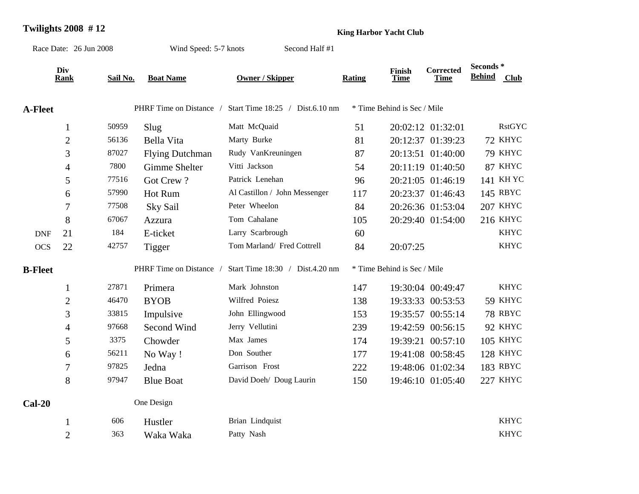## **Twilights 2008 #12 King Harbor Yacht Club**

| Race Date: 26 Jun 2008 |                    |          | Wind Speed: 5-7 knots   |                                 |        |                             |                                 |                            |                 |
|------------------------|--------------------|----------|-------------------------|---------------------------------|--------|-----------------------------|---------------------------------|----------------------------|-----------------|
|                        | Div<br><b>Rank</b> | Sail No. | <b>Boat Name</b>        | <b>Owner / Skipper</b>          | Rating | Finish<br><b>Time</b>       | <b>Corrected</b><br><b>Time</b> | Seconds *<br><b>Behind</b> | <b>Club</b>     |
| <b>A-Fleet</b>         |                    |          | PHRF Time on Distance / | Start Time 18:25 / Dist.6.10 nm |        | * Time Behind is Sec / Mile |                                 |                            |                 |
|                        | $\mathbf{1}$       | 50959    | Slug                    | Matt McQuaid                    | 51     |                             | 20:02:12 01:32:01               |                            | <b>RstGYC</b>   |
|                        | $\overline{2}$     | 56136    | Bella Vita              | Marty Burke                     | 81     |                             | 20:12:37 01:39:23               |                            | 72 KHYC         |
|                        | 3                  | 87027    | <b>Flying Dutchman</b>  | Rudy VanKreuningen              | 87     |                             | 20:13:51 01:40:00               |                            | 79 KHYC         |
|                        | $\overline{4}$     | 7800     | Gimme Shelter           | Vitti Jackson                   | 54     |                             | 20:11:19 01:40:50               |                            | 87 KHYC         |
|                        | 5                  | 77516    | Got Crew?               | Patrick Lenehan                 | 96     |                             | 20:21:05 01:46:19               |                            | 141 KH YC       |
|                        | 6                  | 57990    | Hot Rum                 | Al Castillon / John Messenger   | 117    |                             | 20:23:37 01:46:43               |                            | 145 RBYC        |
|                        | $\tau$             | 77508    | <b>Sky Sail</b>         | Peter Wheelon                   | 84     |                             | 20:26:36 01:53:04               |                            | 207 KHYC        |
|                        | 8                  | 67067    | Azzura                  | Tom Cahalane                    | 105    |                             | 20:29:40 01:54:00               |                            | 216 KHYC        |
| <b>DNF</b>             | 21                 | 184      | E-ticket                | Larry Scarbrough                | 60     |                             |                                 |                            | <b>KHYC</b>     |
| <b>OCS</b>             | 22                 | 42757    | Tigger                  | Tom Marland/ Fred Cottrell      | 84     | 20:07:25                    |                                 |                            | <b>KHYC</b>     |
| <b>B-Fleet</b>         |                    |          | PHRF Time on Distance   | Start Time 18:30 / Dist.4.20 nm |        | * Time Behind is Sec / Mile |                                 |                            |                 |
|                        | $\mathbf{1}$       | 27871    | Primera                 | Mark Johnston                   | 147    |                             | 19:30:04 00:49:47               |                            | <b>KHYC</b>     |
|                        | $\overline{2}$     | 46470    | <b>BYOB</b>             | Wilfred Poiesz                  | 138    |                             | 19:33:33 00:53:53               |                            | 59 KHYC         |
|                        | 3                  | 33815    | Impulsive               | John Ellingwood                 | 153    |                             | 19:35:57 00:55:14               |                            | 78 RBYC         |
|                        | $\overline{4}$     | 97668    | Second Wind             | Jerry Vellutini                 | 239    |                             | 19:42:59 00:56:15               |                            | 92 KHYC         |
|                        | 5                  | 3375     | Chowder                 | Max James                       | 174    |                             | 19:39:21 00:57:10               |                            | <b>105 KHYC</b> |
|                        | 6                  | 56211    | No Way!                 | Don Souther                     | 177    |                             | 19:41:08 00:58:45               |                            | 128 KHYC        |
|                        | $\boldsymbol{7}$   | 97825    | Jedna                   | Garrison Frost                  | 222    |                             | 19:48:06 01:02:34               |                            | 183 RBYC        |
|                        | 8                  | 97947    | <b>Blue Boat</b>        | David Doeh/ Doug Laurin         | 150    |                             | 19:46:10 01:05:40               |                            | 227 KHYC        |
| $Cal-20$               |                    |          | One Design              |                                 |        |                             |                                 |                            |                 |
|                        | $\mathbf{1}$       | 606      | Hustler                 | Brian Lindquist                 |        |                             |                                 |                            | <b>KHYC</b>     |
|                        | $\overline{2}$     | 363      | Waka Waka               | Patty Nash                      |        |                             |                                 |                            | <b>KHYC</b>     |